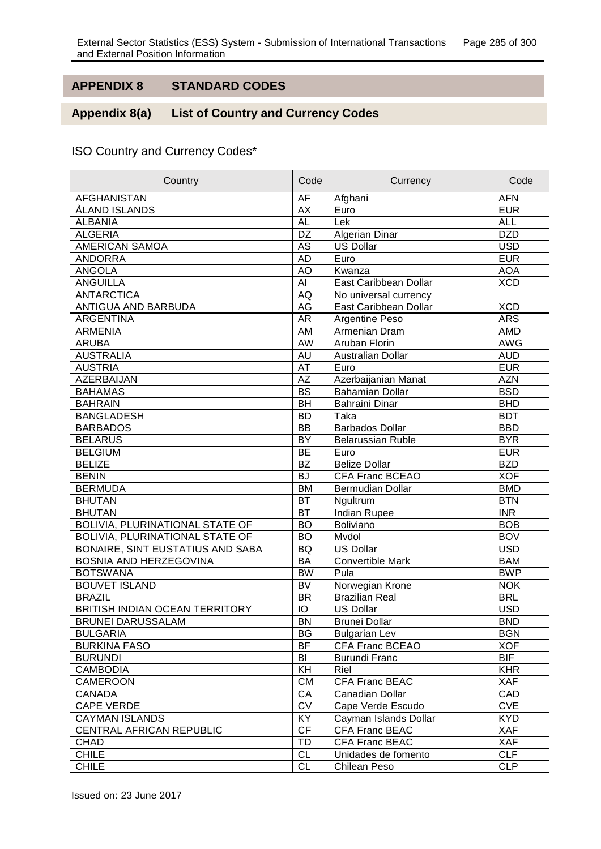## **APPENDIX 8 STANDARD CODES**

## Appendix 8(a) **List of Country and Currency Codes**

## ISO Country and Currency Codes\*

| Country                          | Code      | Currency                 | Code       |
|----------------------------------|-----------|--------------------------|------------|
| <b>AFGHANISTAN</b>               | AF        | Afghani                  | <b>AFN</b> |
| ÅLAND ISLANDS                    | <b>AX</b> | Euro                     | <b>EUR</b> |
| <b>ALBANIA</b>                   | <b>AL</b> | Lek                      | <b>ALL</b> |
| <b>ALGERIA</b>                   | DZ        | Algerian Dinar           | <b>DZD</b> |
| AMERICAN SAMOA                   | AS        | <b>US Dollar</b>         | <b>USD</b> |
| <b>ANDORRA</b>                   | <b>AD</b> | Euro                     | <b>EUR</b> |
| <b>ANGOLA</b>                    | AO        | Kwanza                   | <b>AOA</b> |
| <b>ANGUILLA</b>                  | AI        | East Caribbean Dollar    | <b>XCD</b> |
| <b>ANTARCTICA</b>                | AQ        | No universal currency    |            |
| ANTIGUA AND BARBUDA              | AG        | East Caribbean Dollar    | <b>XCD</b> |
| <b>ARGENTINA</b>                 | <b>AR</b> | Argentine Peso           | <b>ARS</b> |
| <b>ARMENIA</b>                   | AM        | Armenian Dram            | <b>AMD</b> |
| <b>ARUBA</b>                     | AW        | Aruban Florin            | <b>AWG</b> |
| <b>AUSTRALIA</b>                 | <b>AU</b> | Australian Dollar        | <b>AUD</b> |
| <b>AUSTRIA</b>                   | AT        | Euro                     | <b>EUR</b> |
| <b>AZERBAIJAN</b>                | <b>AZ</b> | Azerbaijanian Manat      | <b>AZN</b> |
| <b>BAHAMAS</b>                   | <b>BS</b> | <b>Bahamian Dollar</b>   | <b>BSD</b> |
| <b>BAHRAIN</b>                   | <b>BH</b> | <b>Bahraini Dinar</b>    | <b>BHD</b> |
| <b>BANGLADESH</b>                | <b>BD</b> | Taka                     | <b>BDT</b> |
| <b>BARBADOS</b>                  | <b>BB</b> | <b>Barbados Dollar</b>   | <b>BBD</b> |
| <b>BELARUS</b>                   | <b>BY</b> | <b>Belarussian Ruble</b> | <b>BYR</b> |
| <b>BELGIUM</b>                   | <b>BE</b> | Euro                     | <b>EUR</b> |
| <b>BELIZE</b>                    | <b>BZ</b> | <b>Belize Dollar</b>     | <b>BZD</b> |
| <b>BENIN</b>                     | <b>BJ</b> | <b>CFA Franc BCEAO</b>   | <b>XOF</b> |
| <b>BERMUDA</b>                   | <b>BM</b> | <b>Bermudian Dollar</b>  | <b>BMD</b> |
| <b>BHUTAN</b>                    | <b>BT</b> | Ngultrum                 | <b>BTN</b> |
| <b>BHUTAN</b>                    | <b>BT</b> | <b>Indian Rupee</b>      | <b>INR</b> |
| BOLIVIA, PLURINATIONAL STATE OF  | <b>BO</b> | Boliviano                | <b>BOB</b> |
| BOLIVIA, PLURINATIONAL STATE OF  | <b>BO</b> | Mvdol                    | <b>BOV</b> |
| BONAIRE, SINT EUSTATIUS AND SABA | <b>BQ</b> | <b>US Dollar</b>         | <b>USD</b> |
| BOSNIA AND HERZEGOVINA           | <b>BA</b> | <b>Convertible Mark</b>  | <b>BAM</b> |
| <b>BOTSWANA</b>                  | <b>BW</b> | Pula                     | <b>BWP</b> |
| <b>BOUVET ISLAND</b>             | <b>BV</b> | Norwegian Krone          | <b>NOK</b> |
| <b>BRAZIL</b>                    | <b>BR</b> | <b>Brazilian Real</b>    | <b>BRL</b> |
| BRITISH INDIAN OCEAN TERRITORY   | IO        | <b>US Dollar</b>         | <b>USD</b> |
| <b>BRUNEI DARUSSALAM</b>         | <b>BN</b> | Brunei Dollar            | <b>BND</b> |
| <b>BULGARIA</b>                  | <b>BG</b> | <b>Bulgarian Lev</b>     | <b>BGN</b> |
| <b>BURKINA FASO</b>              | <b>BF</b> | CFA Franc BCEAO          | <b>XOF</b> |
| <b>BURUNDI</b>                   | BI        | <b>Burundi Franc</b>     | <b>BIF</b> |
| <b>CAMBODIA</b>                  | <b>KH</b> | Riel                     | <b>KHR</b> |
| CAMEROON                         | <b>CM</b> | CFA Franc BEAC           | <b>XAF</b> |
| CANADA                           | CA        | Canadian Dollar          | CAD        |
| <b>CAPE VERDE</b>                | <b>CV</b> | Cape Verde Escudo        | <b>CVE</b> |
| <b>CAYMAN ISLANDS</b>            | KY        | Cayman Islands Dollar    | <b>KYD</b> |
| CENTRAL AFRICAN REPUBLIC         | <b>CF</b> | <b>CFA Franc BEAC</b>    | <b>XAF</b> |
| CHAD                             | TD        | <b>CFA Franc BEAC</b>    | <b>XAF</b> |
| <b>CHILE</b>                     | <b>CL</b> | Unidades de fomento      | <b>CLF</b> |
| <b>CHILE</b>                     | <b>CL</b> | Chilean Peso             | <b>CLP</b> |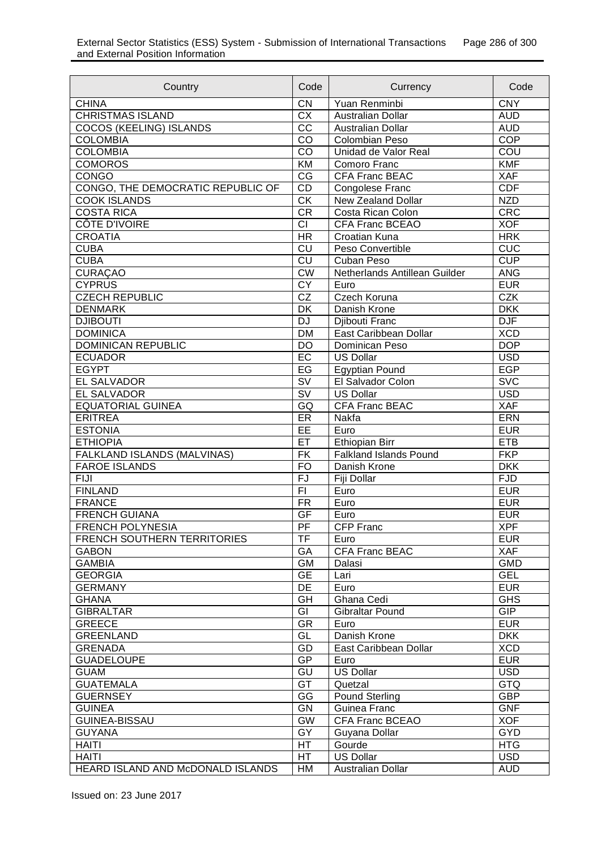| Country                            | Code                                       | Currency                      | Code       |
|------------------------------------|--------------------------------------------|-------------------------------|------------|
| <b>CHINA</b>                       | CN                                         | Yuan Renminbi                 | <b>CNY</b> |
| <b>CHRISTMAS ISLAND</b>            | <b>CX</b>                                  | Australian Dollar             | <b>AUD</b> |
| COCOS (KEELING) ISLANDS            | CC                                         | Australian Dollar             | <b>AUD</b> |
| <b>COLOMBIA</b>                    | CO                                         | Colombian Peso                | <b>COP</b> |
| <b>COLOMBIA</b>                    | $C\overline{O}$                            | Unidad de Valor Real          | COU        |
| <b>COMOROS</b>                     | KM                                         | Comoro Franc                  | <b>KMF</b> |
| CONGO                              | $\overline{\text{CG}}$                     | <b>CFA Franc BEAC</b>         | <b>XAF</b> |
| CONGO, THE DEMOCRATIC REPUBLIC OF  | CD                                         | Congolese Franc               | <b>CDF</b> |
| <b>COOK ISLANDS</b>                | $\overline{\text{CK}}$                     | New Zealand Dollar            | <b>NZD</b> |
| <b>COSTA RICA</b>                  | CR                                         | Costa Rican Colon             | <b>CRC</b> |
| <b>CÔTE D'IVOIRE</b>               | $\overline{c}$                             | <b>CFA Franc BCEAO</b>        | <b>XOF</b> |
| <b>CROATIA</b>                     | $\overline{\mathsf{HR}}$                   | Croatian Kuna                 | <b>HRK</b> |
| <b>CUBA</b>                        | $\overline{c}$                             | Peso Convertible              | CUC        |
| <b>CUBA</b>                        | $\overline{\text{c}^{\text{U}}}$           | Cuban Peso                    | <b>CUP</b> |
| <b>CURAÇAO</b>                     | $\overline{\text{CW}}$                     | Netherlands Antillean Guilder | <b>ANG</b> |
| <b>CYPRUS</b>                      | $\overline{CY}$                            | Euro                          | <b>EUR</b> |
| <b>CZECH REPUBLIC</b>              | $\overline{\text{CZ}}$                     | Czech Koruna                  | <b>CZK</b> |
| <b>DENMARK</b>                     | DK                                         | Danish Krone                  | <b>DKK</b> |
| <b>DJIBOUTI</b>                    | <b>DJ</b>                                  | Djibouti Franc                | <b>DJF</b> |
| <b>DOMINICA</b>                    | <b>DM</b>                                  | East Caribbean Dollar         | XCD        |
| <b>DOMINICAN REPUBLIC</b>          | <b>DO</b>                                  | Dominican Peso                | <b>DOP</b> |
| <b>ECUADOR</b>                     | $E$ C                                      | <b>US Dollar</b>              | <b>USD</b> |
| <b>EGYPT</b>                       | $E$ G                                      | Egyptian Pound                | <b>EGP</b> |
| <b>EL SALVADOR</b>                 | $\overline{\mathsf{S}\mathsf{V}}$          | El Salvador Colon             | <b>SVC</b> |
| <b>EL SALVADOR</b>                 | $\overline{\mathsf{SV}}$                   | <b>US Dollar</b>              | <b>USD</b> |
| <b>EQUATORIAL GUINEA</b>           | GQ                                         | <b>CFA Franc BEAC</b>         | <b>XAF</b> |
| <b>ERITREA</b>                     | ER                                         | Nakfa                         | <b>ERN</b> |
| <b>ESTONIA</b>                     | EE                                         | Euro                          | <b>EUR</b> |
| <b>ETHIOPIA</b>                    | ET                                         | <b>Ethiopian Birr</b>         | ETB        |
| <b>FALKLAND ISLANDS (MALVINAS)</b> | <b>FK</b>                                  | <b>Falkland Islands Pound</b> | <b>FKP</b> |
| <b>FAROE ISLANDS</b>               | <b>FO</b>                                  | Danish Krone                  | <b>DKK</b> |
| <b>FIJI</b>                        | $\overline{FJ}$                            | Fiji Dollar                   | <b>FJD</b> |
| <b>FINLAND</b>                     | F1                                         | Euro                          | <b>EUR</b> |
| <b>FRANCE</b>                      | <b>FR</b>                                  | Euro                          | <b>EUR</b> |
| <b>FRENCH GUIANA</b>               | GF                                         | Euro                          | <b>EUR</b> |
| <b>FRENCH POLYNESIA</b>            |                                            |                               | <b>XPF</b> |
| <b>FRENCH SOUTHERN TERRITORIES</b> | $\overline{PF}$<br>CFP Franc<br>TF<br>Euro |                               | <b>EUR</b> |
| <b>GABON</b>                       | GA                                         | CFA Franc BEAC                | <b>XAF</b> |
| <b>GAMBIA</b>                      | GM                                         |                               | <b>GMD</b> |
| <b>GEORGIA</b>                     | Dalasi<br><b>GE</b>                        |                               | <b>GEL</b> |
| <b>GERMANY</b>                     | DE                                         | Lari<br>Euro                  | <b>EUR</b> |
|                                    |                                            |                               |            |
| <b>GHANA</b>                       | GH                                         | Ghana Cedi                    | <b>GHS</b> |
| <b>GIBRALTAR</b>                   | GI                                         | Gibraltar Pound               | <b>GIP</b> |
| GREECE                             | <b>GR</b>                                  | Euro                          | <b>EUR</b> |
| <b>GREENLAND</b>                   | GL                                         | Danish Krone                  | <b>DKK</b> |
| <b>GRENADA</b>                     | GD                                         | East Caribbean Dollar         | <b>XCD</b> |
| <b>GUADELOUPE</b>                  | GP                                         | Euro                          | <b>EUR</b> |
| <b>GUAM</b>                        | GU                                         | <b>US Dollar</b>              | <b>USD</b> |
| <b>GUATEMALA</b>                   | GT                                         | Quetzal                       | <b>GTQ</b> |
| <b>GUERNSEY</b>                    | GG                                         | <b>Pound Sterling</b>         | <b>GBP</b> |
| <b>GUINEA</b>                      | GN                                         | Guinea Franc                  | <b>GNF</b> |
| <b>GUINEA-BISSAU</b>               | <b>GW</b>                                  | CFA Franc BCEAO               | <b>XOF</b> |
| <b>GUYANA</b>                      | GY                                         | Guyana Dollar                 | <b>GYD</b> |
| <b>HAITI</b>                       | HT                                         | Gourde                        | <b>HTG</b> |
| <b>HAITI</b>                       | HT                                         | <b>US Dollar</b>              | <b>USD</b> |
| HEARD ISLAND AND McDONALD ISLANDS  | HM                                         | Australian Dollar             | <b>AUD</b> |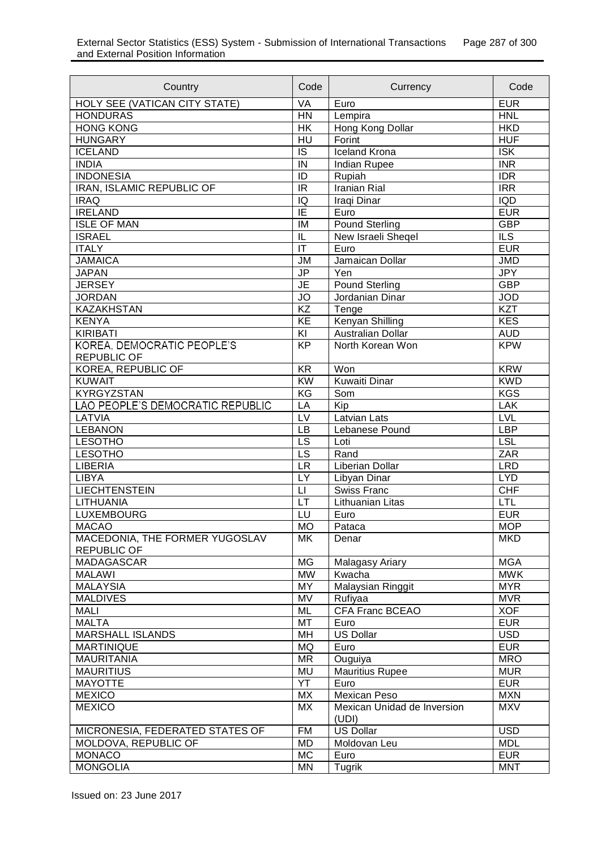| Country                          | Code                              | Currency                    | Code                     |
|----------------------------------|-----------------------------------|-----------------------------|--------------------------|
| HOLY SEE (VATICAN CITY STATE)    | <b>VA</b>                         | Euro                        | <b>EUR</b>               |
| <b>HONDURAS</b>                  | <b>HN</b>                         | Lempira                     | <b>HNL</b>               |
| <b>HONG KONG</b>                 | HK                                | Hong Kong Dollar            | <b>HKD</b>               |
| <b>HUNGARY</b>                   | HU                                | Forint                      | <b>HUF</b>               |
| <b>ICELAND</b>                   | $\overline{S}$                    | <b>Iceland Krona</b>        | <b>ISK</b>               |
| <b>INDIA</b>                     | IN                                | Indian Rupee                | <b>INR</b>               |
| <b>INDONESIA</b>                 | $\overline{ID}$                   | Rupiah                      | IDR                      |
| <b>IRAN, ISLAMIC REPUBLIC OF</b> | <b>IR</b>                         | <b>Iranian Rial</b>         | $\overline{IRR}$         |
| <b>IRAQ</b>                      | IQ                                | Iraqi Dinar                 | $\overline{IQ}$          |
| <b>IRELAND</b>                   | $\overline{IE}$                   | Euro                        | <b>EUR</b>               |
| <b>ISLE OF MAN</b>               | IM                                | <b>Pound Sterling</b>       | <b>GBP</b>               |
| <b>ISRAEL</b>                    | IL                                | New Israeli Sheqel          | $\overline{\mathbb{LS}}$ |
| <b>ITALY</b>                     | $\overline{\mathsf{I}\mathsf{T}}$ | Euro                        | <b>EUR</b>               |
| <b>JAMAICA</b>                   | <b>JM</b>                         | Jamaican Dollar             | <b>JMD</b>               |
| <b>JAPAN</b>                     | <b>JP</b>                         | Yen                         | <b>JPY</b>               |
| <b>JERSEY</b>                    | $\overline{\mathsf{JE}}$          | <b>Pound Sterling</b>       | <b>GBP</b>               |
| <b>JORDAN</b>                    | <b>JO</b>                         | Jordanian Dinar             | <b>JOD</b>               |
| <b>KAZAKHSTAN</b>                | $\overline{KZ}$                   | $T$ enge                    | <b>KZT</b>               |
| <b>KENYA</b>                     | $\overline{KE}$                   | <b>Kenyan Shilling</b>      | <b>KES</b>               |
| <b>KIRIBATI</b>                  | $\overline{K}$                    | <b>Australian Dollar</b>    | <b>AUD</b>               |
| KOREA, DEMOCRATIC PEOPLE'S       | $\overline{KP}$                   | North Korean Won            | <b>KPW</b>               |
| <b>REPUBLIC OF</b>               |                                   |                             |                          |
| <b>KOREA, REPUBLIC OF</b>        | $\overline{KR}$                   | Won                         | <b>KRW</b>               |
| <b>KUWAIT</b>                    | $\overline{KW}$                   | <b>Kuwaiti Dinar</b>        | <b>KWD</b>               |
| <b>KYRGYZSTAN</b>                | KG                                | Som                         | <b>KGS</b>               |
| LAO PEOPLE'S DEMOCRATIC REPUBLIC | LA                                | Kip                         | <b>LAK</b>               |
| <b>LATVIA</b>                    | $\overline{LV}$                   | Latvian Lats                | LVL                      |
| <b>LEBANON</b>                   | LB                                | Lebanese Pound              | <b>LBP</b>               |
| <b>LESOTHO</b>                   | LS                                | Loti                        | <b>LSL</b>               |
| <b>LESOTHO</b>                   | $\overline{\mathsf{LS}}$          | Rand                        | ZAR                      |
| <b>LIBERIA</b>                   | <b>LR</b>                         | Liberian Dollar             | <b>LRD</b>               |
| <b>LIBYA</b>                     | LY                                | Libyan Dinar                | <b>LYD</b>               |
| <b>LIECHTENSTEIN</b>             | $\sqcup$                          | Swiss Franc                 | <b>CHF</b>               |
| <b>LITHUANIA</b>                 | LT                                | Lithuanian Litas            | <b>LTL</b>               |
| LUXEMBOURG                       | LU                                | Euro                        | <b>EUR</b>               |
| <b>MACAO</b>                     | <b>MO</b>                         | Pataca                      | <b>MOP</b>               |
| MACEDONIA, THE FORMER YUGOSLAV   | МK                                | Denar                       | <b>MKD</b>               |
| <b>REPUBLIC OF</b>               |                                   |                             |                          |
| MADAGASCAR                       | <b>MG</b>                         | Malagasy Ariary             | <b>MGA</b>               |
| <b>MALAWI</b>                    | <b>MW</b>                         | Kwacha                      | <b>MWK</b>               |
| <b>MALAYSIA</b>                  | <b>MY</b>                         | <b>Malaysian Ringgit</b>    | <b>MYR</b>               |
| <b>MALDIVES</b>                  | MV                                | Rufiyaa                     | <b>MVR</b>               |
| <b>MALI</b>                      | ML                                | CFA Franc BCEAO             | <b>XOF</b>               |
| <b>MALTA</b>                     | MT                                | Euro                        | <b>EUR</b>               |
| <b>MARSHALL ISLANDS</b>          | MH                                | US Dollar                   | <b>USD</b>               |
| <b>MARTINIQUE</b>                | <b>MQ</b>                         | Euro                        | <b>EUR</b>               |
| <b>MAURITANIA</b>                | <b>MR</b>                         | Ouguiya                     | <b>MRO</b>               |
| <b>MAURITIUS</b>                 | <b>MU</b>                         | <b>Mauritius Rupee</b>      | <b>MUR</b>               |
| <b>MAYOTTE</b>                   | YT                                | Euro                        | <b>EUR</b>               |
| <b>MEXICO</b>                    | МX                                | Mexican Peso                | <b>MXN</b>               |
| <b>MEXICO</b>                    | МX                                | Mexican Unidad de Inversion | <b>MXV</b>               |
|                                  |                                   | (UDI)                       |                          |
| MICRONESIA, FEDERATED STATES OF  | <b>FM</b>                         | <b>US Dollar</b>            | <b>USD</b>               |
| MOLDOVA, REPUBLIC OF             | <b>MD</b>                         | Moldovan Leu                | <b>MDL</b>               |
| <b>MONACO</b>                    | MC                                | Euro                        | <b>EUR</b>               |
| <b>MONGOLIA</b>                  | MN                                | Tugrik                      | <b>MNT</b>               |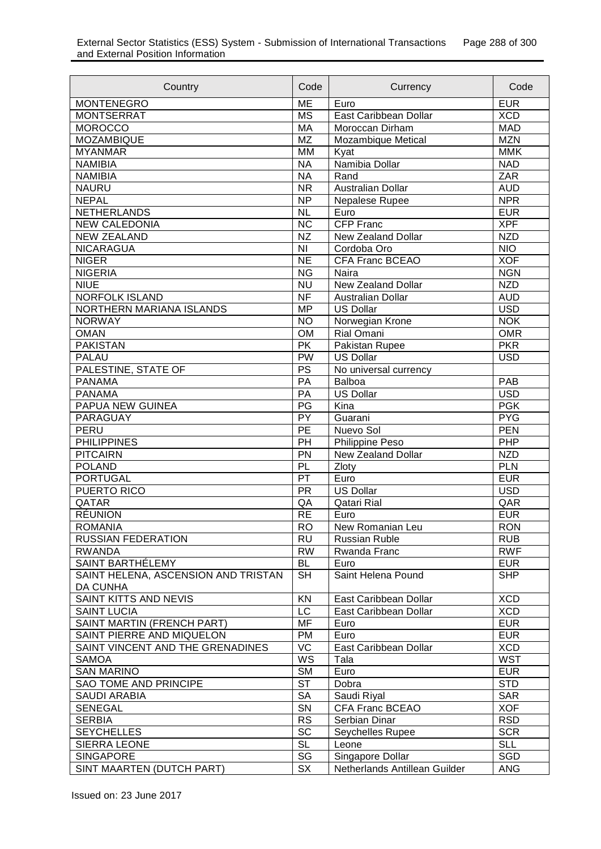| Country                               | Code                      | Currency                      | Code                     |
|---------------------------------------|---------------------------|-------------------------------|--------------------------|
| <b>MONTENEGRO</b>                     | <b>ME</b>                 | Euro                          | <b>EUR</b>               |
| <b>MONTSERRAT</b>                     | <b>MS</b>                 | East Caribbean Dollar         | <b>XCD</b>               |
| <b>MOROCCO</b>                        | <b>MA</b>                 | Moroccan Dirham               | <b>MAD</b>               |
| <b>MOZAMBIQUE</b>                     | <b>MZ</b>                 | <b>Mozambique Metical</b>     | <b>MZN</b>               |
| <b>MYANMAR</b>                        | <b>MM</b>                 | Kyat                          | <b>MMK</b>               |
| <b>NAMIBIA</b>                        | <b>NA</b>                 | Namibia Dollar                | <b>NAD</b>               |
| <b>NAMIBIA</b>                        | <b>NA</b>                 | Rand                          | <b>ZAR</b>               |
| <b>NAURU</b>                          | <b>NR</b>                 | <b>Australian Dollar</b>      | <b>AUD</b>               |
| <b>NEPAL</b>                          | <b>NP</b>                 | Nepalese Rupee                | <b>NPR</b>               |
| <b>NETHERLANDS</b>                    | <b>NL</b>                 | Euro                          | <b>EUR</b>               |
| <b>NEW CALEDONIA</b>                  | <b>NC</b>                 | <b>CFP Franc</b>              | <b>XPF</b>               |
| <b>NEW ZEALAND</b>                    | <b>NZ</b>                 | <b>New Zealand Dollar</b>     | <b>NZD</b>               |
| <b>NICARAGUA</b>                      | <b>NI</b>                 | Cordoba Oro                   | $\overline{NIO}$         |
| <b>NIGER</b>                          | <b>NE</b>                 | <b>CFA Franc BCEAO</b>        | <b>XOF</b>               |
| <b>NIGERIA</b>                        | <b>NG</b>                 | Naira                         | <b>NGN</b>               |
| <b>NIUE</b>                           | <b>NU</b>                 | <b>New Zealand Dollar</b>     | <b>NZD</b>               |
| <b>NORFOLK ISLAND</b>                 | $\overline{\mathsf{NF}}$  | <b>Australian Dollar</b>      | <b>AUD</b>               |
| NORTHERN MARIANA ISLANDS              | <b>MP</b>                 | <b>US Dollar</b>              | <b>USD</b>               |
| <b>NORWAY</b>                         | <b>NO</b>                 | Norwegian Krone               | <b>NOK</b>               |
| <b>OMAN</b>                           | <b>OM</b>                 | Rial Omani                    | <b>OMR</b>               |
| <b>PAKISTAN</b>                       | <b>PK</b>                 | Pakistan Rupee                | <b>PKR</b>               |
| <b>PALAU</b>                          | <b>PW</b>                 | <b>US Dollar</b>              | <b>USD</b>               |
| PALESTINE, STATE OF                   | PS                        | No universal currency         |                          |
| <b>PANAMA</b>                         | PA                        | Balboa                        | PAB                      |
| <b>PANAMA</b>                         | PA                        | <b>US Dollar</b>              | <b>USD</b>               |
| <b>PAPUA NEW GUINEA</b>               | PG                        | Kina                          | <b>PGK</b>               |
| PARAGUAY                              | $\overline{PY}$           | Guarani                       | <b>PYG</b>               |
| <b>PERU</b>                           | PE                        | Nuevo Sol                     | <b>PEN</b>               |
| <b>PHILIPPINES</b>                    | PH                        | Philippine Peso               | PHP                      |
| <b>PITCAIRN</b>                       | PN                        | <b>New Zealand Dollar</b>     | <b>NZD</b>               |
| <b>POLAND</b>                         | PL                        | Zloty                         | <b>PLN</b>               |
| <b>PORTUGAL</b>                       | PT                        | Euro                          | <b>EUR</b>               |
| <b>PUERTO RICO</b>                    | <b>PR</b>                 | <b>US Dollar</b>              | <b>USD</b>               |
| QATAR                                 | QA                        | Qatari Rial                   | QAR                      |
| <b>RÉUNION</b>                        | <b>RE</b>                 | Euro                          | <b>EUR</b>               |
| <b>ROMANIA</b>                        | R <sub>O</sub>            | New Romanian Leu              | <b>RON</b>               |
| <b>RUSSIAN FEDERATION</b>             | <b>RU</b>                 | <b>Russian Ruble</b>          | <b>RUB</b>               |
| <b>RWANDA</b>                         | <b>RW</b><br>Rwanda Franc |                               | <b>RWF</b>               |
| SAINT BARTHÉLEMY                      | <b>BL</b>                 | Euro                          | <b>EUR</b>               |
| SAINT HELENA, ASCENSION AND TRISTAN   | <b>SH</b>                 | Saint Helena Pound            | <b>SHP</b>               |
| <b>DA CUNHA</b>                       |                           |                               |                          |
| <b>SAINT KITTS AND NEVIS</b>          | KN                        | East Caribbean Dollar         | <b>XCD</b>               |
| <b>SAINT LUCIA</b>                    | LC                        | East Caribbean Dollar         | <b>XCD</b>               |
| SAINT MARTIN (FRENCH PART)            | MF                        | Euro                          | <b>EUR</b>               |
| SAINT PIERRE AND MIQUELON             | <b>PM</b>                 | Euro<br>East Caribbean Dollar | <b>EUR</b>               |
| SAINT VINCENT AND THE GRENADINES      | VC                        |                               | <b>XCD</b>               |
| <b>SAMOA</b>                          | $W\overline{S}$           | Tala                          | <b>WST</b>               |
| <b>SAN MARINO</b>                     | <b>SM</b>                 | Euro                          | <b>EUR</b><br><b>STD</b> |
| SAO TOME AND PRINCIPE                 | <b>ST</b>                 | Dobra                         |                          |
| <b>SAUDI ARABIA</b><br><b>SENEGAL</b> | <b>SA</b><br>SN           | Saudi Riyal                   | <b>SAR</b><br><b>XOF</b> |
|                                       |                           | CFA Franc BCEAO               |                          |
| <b>SERBIA</b>                         | <b>RS</b>                 | Serbian Dinar                 | <b>RSD</b>               |
| <b>SEYCHELLES</b>                     | SC                        | Seychelles Rupee              | <b>SCR</b><br><b>SLL</b> |
| SIERRA LEONE                          | <b>SL</b>                 | Leone                         |                          |
| <b>SINGAPORE</b>                      | SG                        | Singapore Dollar              | SGD                      |
| SINT MAARTEN (DUTCH PART)             | SX                        | Netherlands Antillean Guilder | <b>ANG</b>               |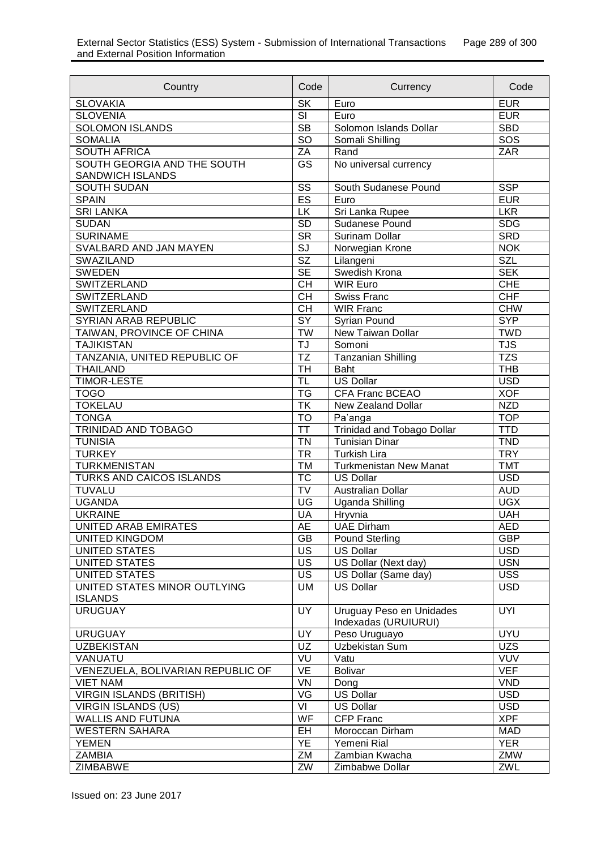| Country                                         | Code                     | Currency                                         | Code       |
|-------------------------------------------------|--------------------------|--------------------------------------------------|------------|
| <b>SLOVAKIA</b>                                 | <b>SK</b>                | Euro                                             | <b>EUR</b> |
| <b>SLOVENIA</b>                                 | SI                       | Euro                                             | <b>EUR</b> |
| <b>SOLOMON ISLANDS</b>                          | <b>SB</b>                | Solomon Islands Dollar                           | <b>SBD</b> |
| <b>SOMALIA</b>                                  | SO                       | Somali Shilling                                  | SOS        |
| <b>SOUTH AFRICA</b>                             | ZA                       | Rand                                             | ZAR        |
| SOUTH GEORGIA AND THE SOUTH<br>SANDWICH ISLANDS | GS                       | No universal currency                            |            |
| <b>SOUTH SUDAN</b>                              | $\overline{\text{SS}}$   | South Sudanese Pound                             | <b>SSP</b> |
| <b>SPAIN</b>                                    | ES                       | Euro                                             | <b>EUR</b> |
| <b>SRI LANKA</b>                                | LK                       | Sri Lanka Rupee                                  | <b>LKR</b> |
| <b>SUDAN</b>                                    | SD                       | Sudanese Pound                                   | <b>SDG</b> |
| <b>SURINAME</b>                                 | $\overline{\text{SR}}$   | Surinam Dollar                                   | <b>SRD</b> |
| SVALBARD AND JAN MAYEN                          | $\overline{\text{SI}}$   | Norwegian Krone                                  | <b>NOK</b> |
| <b>SWAZILAND</b>                                | $\overline{\text{SZ}}$   | Lilangeni                                        | <b>SZL</b> |
| <b>SWEDEN</b>                                   | $\overline{\mathsf{SE}}$ | Swedish Krona                                    | <b>SEK</b> |
| <b>SWITZERLAND</b>                              | <b>CH</b>                | <b>WIR Euro</b>                                  | <b>CHE</b> |
| <b>SWITZERLAND</b>                              | $\overline{CH}$          | Swiss Franc                                      | <b>CHF</b> |
| SWITZERLAND                                     | $\overline{CH}$          | <b>WIR Franc</b>                                 | <b>CHW</b> |
| <b>SYRIAN ARAB REPUBLIC</b>                     | $\overline{SY}$          | Syrian Pound                                     | <b>SYP</b> |
| TAIWAN, PROVINCE OF CHINA                       | <b>TW</b>                | New Taiwan Dollar                                | <b>TWD</b> |
| <b>TAJIKISTAN</b>                               | TJ                       | Somoni                                           | <b>TJS</b> |
| TANZANIA, UNITED REPUBLIC OF                    | $\overline{\mathsf{TZ}}$ | <b>Tanzanian Shilling</b>                        | <b>TZS</b> |
| <b>THAILAND</b>                                 | $\overline{\mathsf{TH}}$ | <b>Baht</b>                                      | <b>THB</b> |
| <b>TIMOR-LESTE</b>                              | $\overline{\sf TL}$      | <b>US Dollar</b>                                 | <b>USD</b> |
| <b>TOGO</b>                                     | <b>TG</b>                | <b>CFA Franc BCEAO</b>                           | <b>XOF</b> |
| <b>TOKELAU</b>                                  | <b>TK</b>                | New Zealand Dollar                               | <b>NZD</b> |
| <b>TONGA</b>                                    | <b>TO</b>                | Pa'anga                                          | <b>TOP</b> |
| TRINIDAD AND TOBAGO                             | <b>TT</b>                | <b>Trinidad and Tobago Dollar</b>                | <b>TTD</b> |
| <b>TUNISIA</b>                                  | <b>TN</b>                | <b>Tunisian Dinar</b>                            | <b>TND</b> |
| <b>TURKEY</b>                                   | <b>TR</b>                | <b>Turkish Lira</b>                              | <b>TRY</b> |
| <b>TURKMENISTAN</b>                             | <b>TM</b>                | <b>Turkmenistan New Manat</b>                    | <b>TMT</b> |
| TURKS AND CAICOS ISLANDS                        | $\overline{\text{TC}}$   | <b>US Dollar</b>                                 | <b>USD</b> |
| <b>TUVALU</b>                                   | $\overline{\text{TV}}$   | Australian Dollar                                | <b>AUD</b> |
| <b>UGANDA</b>                                   | UG                       | <b>Uganda Shilling</b>                           | <b>UGX</b> |
| <b>UKRAINE</b>                                  | UA                       | Hryvnia                                          | <b>UAH</b> |
| UNITED ARAB EMIRATES                            | <b>AE</b>                | <b>UAE Dirham</b>                                | <b>AED</b> |
| <b>UNITED KINGDOM</b>                           | GB                       | <b>Pound Sterling</b>                            | <b>GBP</b> |
| <b>UNITED STATES</b>                            | <b>US</b>                | <b>US Dollar</b>                                 | <b>USD</b> |
| UNITED STATES                                   | <b>US</b>                | US Dollar (Next day)                             | <b>USN</b> |
| <b>UNITED STATES</b>                            | <b>US</b>                | US Dollar (Same day)                             | <b>USS</b> |
| UNITED STATES MINOR OUTLYING                    | UM                       | <b>US Dollar</b>                                 | <b>USD</b> |
| <b>ISLANDS</b>                                  |                          |                                                  |            |
| <b>URUGUAY</b>                                  | UY                       | Uruguay Peso en Unidades<br>Indexadas (URUIURUI) | <b>UYI</b> |
| <b>URUGUAY</b>                                  | UY                       | Peso Uruguayo                                    | <b>UYU</b> |
| <b>UZBEKISTAN</b>                               | UZ                       | Uzbekistan Sum                                   | <b>UZS</b> |
| VANUATU                                         | VU                       | Vatu                                             | <b>VUV</b> |
| VENEZUELA, BOLIVARIAN REPUBLIC OF               | VE                       | <b>Bolivar</b>                                   | <b>VEF</b> |
| <b>VIET NAM</b>                                 | VN                       | Dong                                             | <b>VND</b> |
| <b>VIRGIN ISLANDS (BRITISH)</b>                 | VG                       | <b>US Dollar</b>                                 | <b>USD</b> |
| <b>VIRGIN ISLANDS (US)</b>                      | VI                       | <b>US Dollar</b>                                 | <b>USD</b> |
| <b>WALLIS AND FUTUNA</b>                        | WF                       | <b>CFP Franc</b>                                 | <b>XPF</b> |
| <b>WESTERN SAHARA</b>                           | EH                       | Moroccan Dirham                                  | <b>MAD</b> |
| <b>YEMEN</b>                                    | YE                       | Yemeni Rial                                      | <b>YER</b> |
| <b>ZAMBIA</b>                                   | ΖM                       | Zambian Kwacha                                   | ZMW        |
| ZIMBABWE                                        | ZW                       | Zimbabwe Dollar                                  | ZWL        |